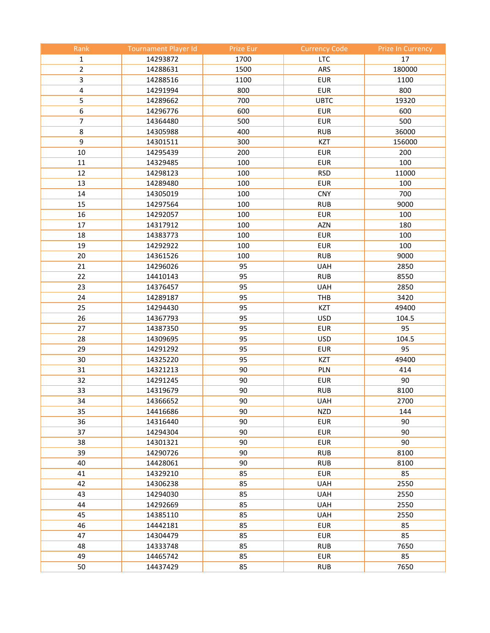| Rank             | <b>Tournament Player Id</b> | Prize Eur | <b>Currency Code</b> | <b>Prize In Currency</b> |
|------------------|-----------------------------|-----------|----------------------|--------------------------|
| $\mathbf{1}$     | 14293872                    | 1700      | <b>LTC</b>           | 17                       |
| $\overline{2}$   | 14288631                    | 1500      | ARS                  | 180000                   |
| 3                | 14288516                    | 1100      | <b>EUR</b>           | 1100                     |
| 4                | 14291994                    | 800       | <b>EUR</b>           | 800                      |
| 5                | 14289662                    | 700       | <b>UBTC</b>          | 19320                    |
| $\boldsymbol{6}$ | 14296776                    | 600       | <b>EUR</b>           | 600                      |
| $\overline{7}$   | 14364480                    | 500       | <b>EUR</b>           | 500                      |
| $\bf 8$          | 14305988                    | 400       | <b>RUB</b>           | 36000                    |
| 9                | 14301511                    | 300       | <b>KZT</b>           | 156000                   |
| 10               | 14295439                    | 200       | <b>EUR</b>           | 200                      |
| 11               | 14329485                    | 100       | <b>EUR</b>           | 100                      |
| 12               | 14298123                    | 100       | <b>RSD</b>           | 11000                    |
| 13               | 14289480                    | 100       | <b>EUR</b>           | 100                      |
| 14               | 14305019                    | 100       | <b>CNY</b>           | 700                      |
| 15               | 14297564                    | 100       | <b>RUB</b>           | 9000                     |
| 16               | 14292057                    | 100       | <b>EUR</b>           | 100                      |
| 17               | 14317912                    | 100       | <b>AZN</b>           | 180                      |
| 18               | 14383773                    | 100       | <b>EUR</b>           | 100                      |
| 19               | 14292922                    | 100       | <b>EUR</b>           | 100                      |
| 20               | 14361526                    | 100       | <b>RUB</b>           | 9000                     |
| 21               | 14296026                    | 95        | <b>UAH</b>           | 2850                     |
| 22               | 14410143                    | 95        | <b>RUB</b>           | 8550                     |
| 23               | 14376457                    | 95        | <b>UAH</b>           | 2850                     |
| 24               | 14289187                    | 95        | THB                  | 3420                     |
| 25               | 14294430                    | 95        | <b>KZT</b>           | 49400                    |
| 26               | 14367793                    | 95        | <b>USD</b>           | 104.5                    |
| 27               | 14387350                    | 95        | <b>EUR</b>           | 95                       |
| 28               | 14309695                    | 95        | <b>USD</b>           | 104.5                    |
| 29               | 14291292                    | 95        | <b>EUR</b>           | 95                       |
| 30               | 14325220                    | 95        | <b>KZT</b>           | 49400                    |
| 31               | 14321213                    | 90        | PLN                  | 414                      |
| 32               | 14291245                    | 90        | <b>EUR</b>           | 90                       |
| 33               | 14319679                    | 90        | <b>RUB</b>           | 8100                     |
| 34               | 14366652                    | 90        | <b>UAH</b>           | 2700                     |
| 35               | 14416686                    | 90        | <b>NZD</b>           | 144                      |
| 36               | 14316440                    | 90        | <b>EUR</b>           | 90                       |
| 37               | 14294304                    | 90        | <b>EUR</b>           | 90                       |
| 38               | 14301321                    | 90        | <b>EUR</b>           | 90                       |
| 39               | 14290726                    | 90        | <b>RUB</b>           | 8100                     |
| 40               | 14428061                    | 90        | <b>RUB</b>           | 8100                     |
| 41               | 14329210                    | 85        | <b>EUR</b>           | 85                       |
| 42               | 14306238                    | 85        | <b>UAH</b>           | 2550                     |
| 43               | 14294030                    | 85        | <b>UAH</b>           | 2550                     |
| 44               | 14292669                    | 85        | <b>UAH</b>           | 2550                     |
| 45               | 14385110                    | 85        | <b>UAH</b>           | 2550                     |
| 46               | 14442181                    | 85        | <b>EUR</b>           | 85                       |
| 47               | 14304479                    | 85        | <b>EUR</b>           | 85                       |
| 48               | 14333748                    | 85        | <b>RUB</b>           | 7650                     |
| 49               | 14465742                    | 85        | <b>EUR</b>           | 85                       |
| 50               | 14437429                    | 85        | <b>RUB</b>           | 7650                     |